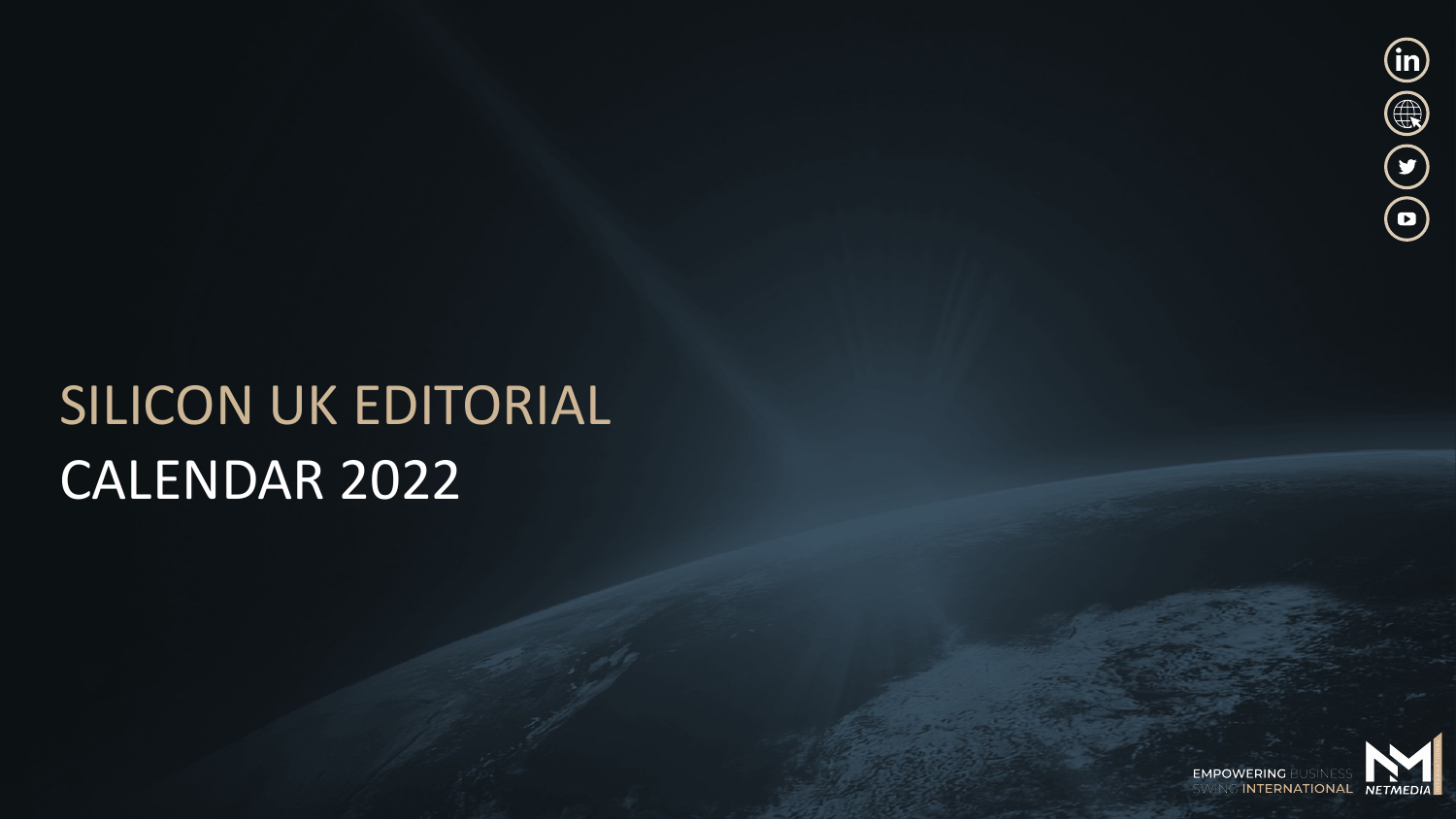

# SILICON UK EDITORIAL CALENDAR 2022

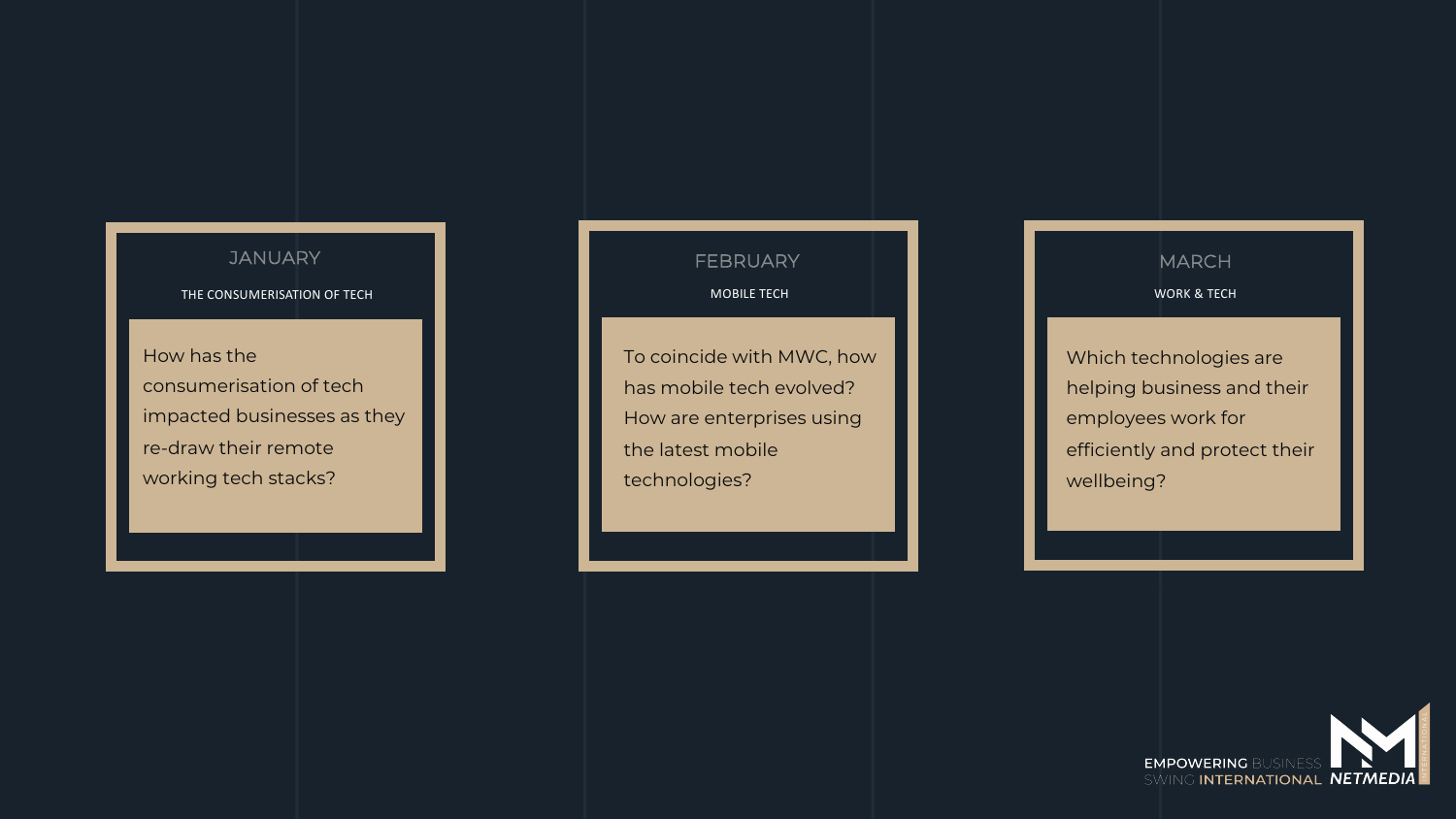THE CONSUMERISATION OF TECH

How has the consumerisation of tech impacted businesses as they re-draw their remote working tech stacks?

JANUARY **I** BRUARY I AND MARCH

MOBILE TECH **MOBILE TECH NOBILE TECH NOBILE TECH** 

To coincide with MWC, how has mobile tech evolved? How are enterprises using the latest mobile technologies?

Which technologies are helping business and their employees work for efficiently and protect their wellbeing?

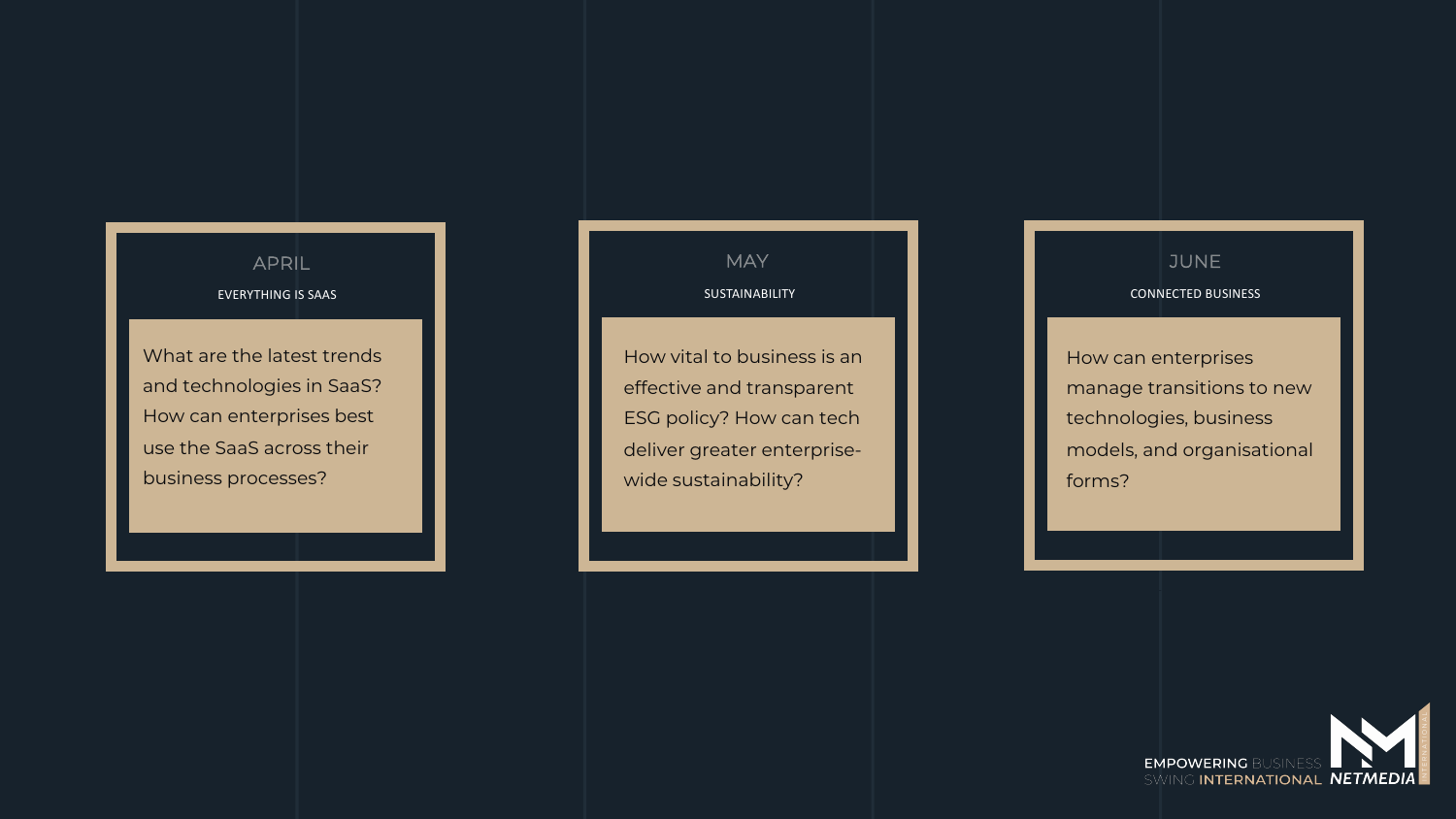## EVERYTHING IS SAAS

What are the latest trends and technologies in SaaS? How can enterprises best use the SaaS across their business processes?

How vital to business is an effective and transparent ESG policy? How can tech deliver greater enterprisewide sustainability?

### SUSTAINABILITY **CONNECTED BUSINESS** APRIL MAY JUNE

How can enterprises manage transitions to new technologies, business models, and organisational forms?

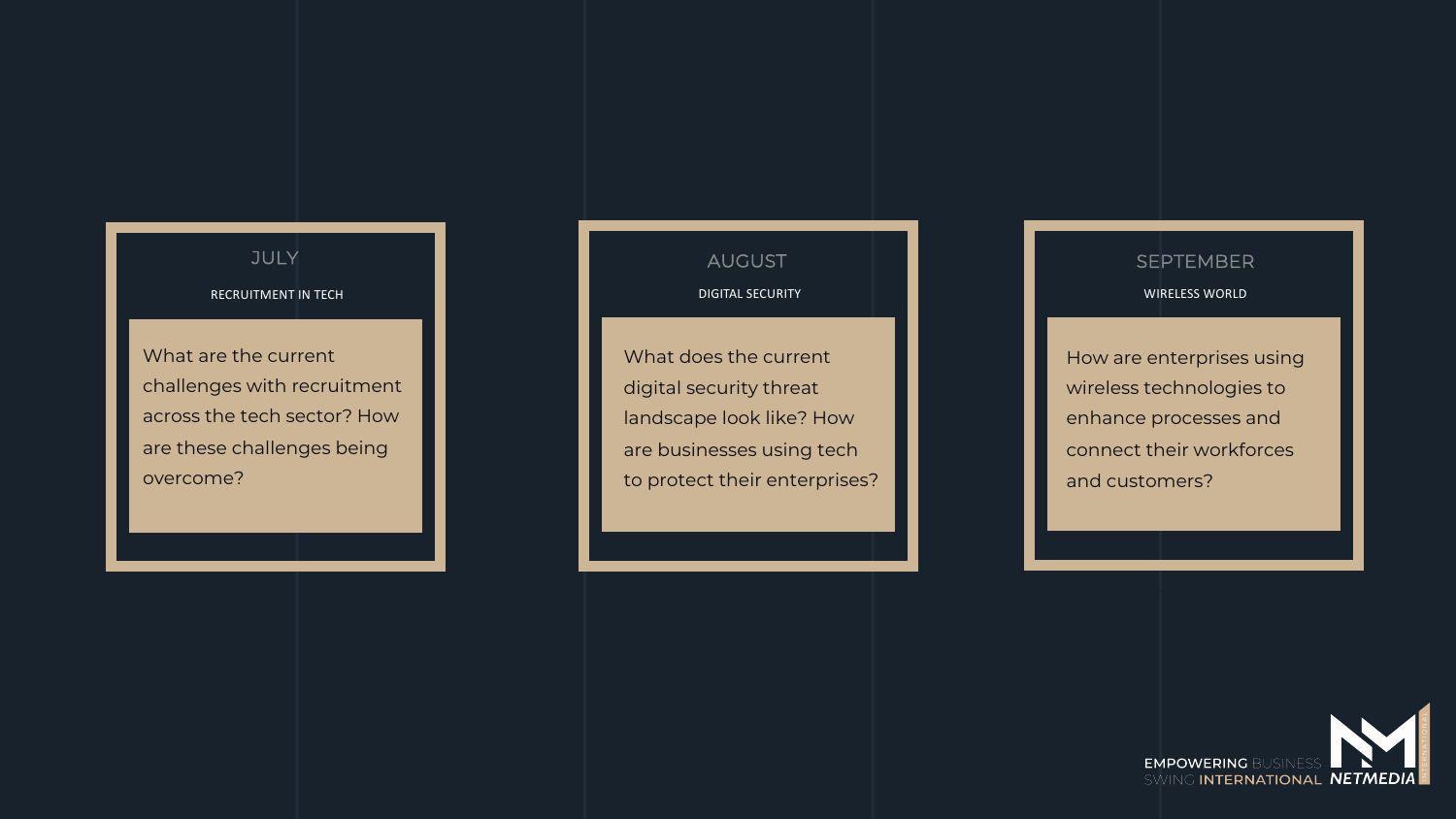#### RECRUITMENT IN TECH

What are the current challenges with recruitment across the tech sector? How are these challenges being overcome?

What does the current digital security threat landscape look like? How are businesses using tech to protect their enterprises?

### DIGITAL SECURITY WIRELESS WORLD JULY AUGUST SEPTEMBER

How are enterprises using wireless technologies to enhance processes and connect their workforces and customers?